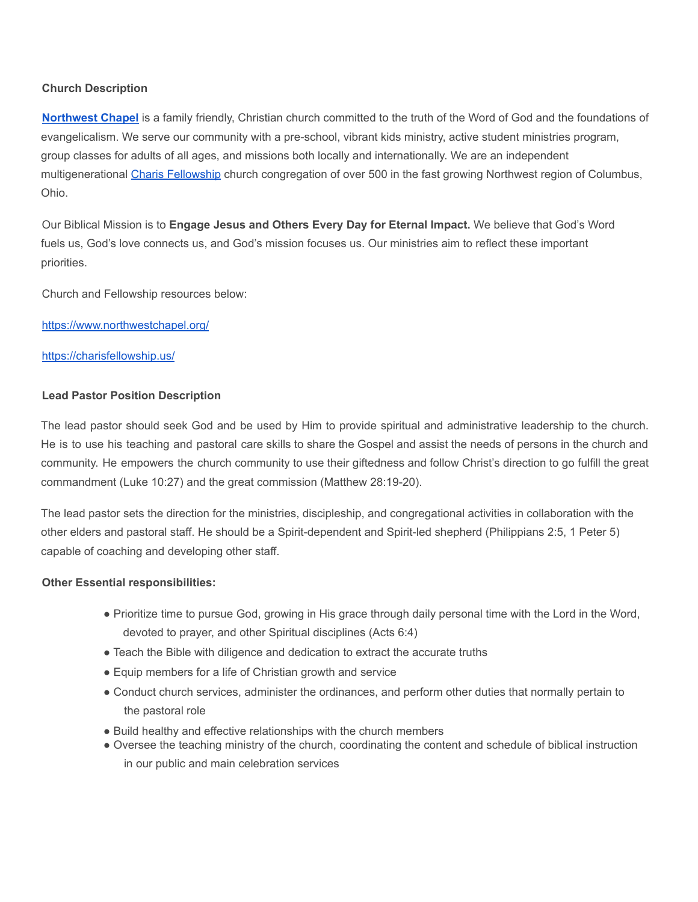# **Church Description**

**[Northwest](https://www.northwestchapel.org/) Chapel** is a family friendly, Christian church committed to the truth of the Word of God and the foundations of evangelicalism. We serve our community with a pre-school, vibrant kids ministry, active student ministries program, group classes for adults of all ages, and missions both locally and internationally. We are an independent multigenerational Charis [Fellowship](https://charisfellowship.us/) church congregation of over 500 in the fast growing Northwest region of Columbus, Ohio.

Our Biblical Mission is to **Engage Jesus and Others Every Day for Eternal Impact.** We believe that God's Word fuels us, God's love connects us, and God's mission focuses us. Our ministries aim to reflect these important priorities.

Church and Fellowship resources below:

https://www.northwestchapel.org/

#### https://charisfellowship.us/

### **Lead Pastor Position Description**

The lead pastor should seek God and be used by Him to provide spiritual and administrative leadership to the church. He is to use his teaching and pastoral care skills to share the Gospel and assist the needs of persons in the church and community. He empowers the church community to use their giftedness and follow Christ's direction to go fulfill the great commandment (Luke 10:27) and the great commission (Matthew 28:19-20).

The lead pastor sets the direction for the ministries, discipleship, and congregational activities in collaboration with the other elders and pastoral staff. He should be a Spirit-dependent and Spirit-led shepherd (Philippians 2:5, 1 Peter 5) capable of coaching and developing other staff.

### **Other Essential responsibilities:**

- Prioritize time to pursue God, growing in His grace through daily personal time with the Lord in the Word, devoted to prayer, and other Spiritual disciplines (Acts 6:4)
- Teach the Bible with diligence and dedication to extract the accurate truths
- Equip members for a life of Christian growth and service
- Conduct church services, administer the ordinances, and perform other duties that normally pertain to the pastoral role
- Build healthy and effective relationships with the church members
- Oversee the teaching ministry of the church, coordinating the content and schedule of biblical instruction in our public and main celebration services